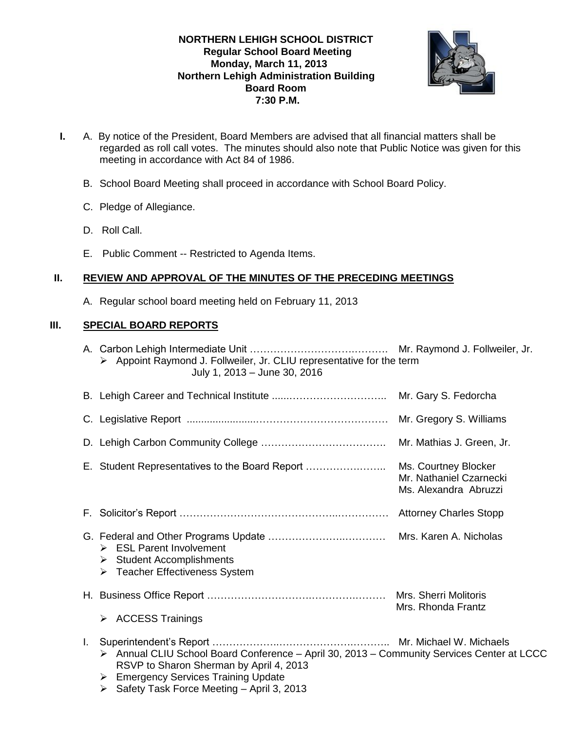## **NORTHERN LEHIGH SCHOOL DISTRICT Regular School Board Meeting Monday, March 11, 2013 Northern Lehigh Administration Building Board Room 7:30 P.M.**



- **I.** A. By notice of the President, Board Members are advised that all financial matters shall be regarded as roll call votes. The minutes should also note that Public Notice was given for this meeting in accordance with Act 84 of 1986.
	- B. School Board Meeting shall proceed in accordance with School Board Policy.
	- C. Pledge of Allegiance.
	- D. Roll Call.
	- E. Public Comment -- Restricted to Agenda Items.

# **II. REVIEW AND APPROVAL OF THE MINUTES OF THE PRECEDING MEETINGS**

A. Regular school board meeting held on February 11, 2013

## **III. SPECIAL BOARD REPORTS**

|    | > Appoint Raymond J. Follweiler, Jr. CLIU representative for the term<br>July 1, 2013 - June 30, 2016                                                                                                                                  |                                                  |
|----|----------------------------------------------------------------------------------------------------------------------------------------------------------------------------------------------------------------------------------------|--------------------------------------------------|
|    |                                                                                                                                                                                                                                        |                                                  |
|    |                                                                                                                                                                                                                                        |                                                  |
|    |                                                                                                                                                                                                                                        |                                                  |
|    |                                                                                                                                                                                                                                        | Mr. Nathaniel Czarnecki<br>Ms. Alexandra Abruzzi |
|    |                                                                                                                                                                                                                                        |                                                  |
|    | $\triangleright$ ESL Parent Involvement<br>$\triangleright$ Student Accomplishments<br>> Teacher Effectiveness System                                                                                                                  |                                                  |
|    |                                                                                                                                                                                                                                        | Mrs. Rhonda Frantz                               |
|    | <b>ACCESS Trainings</b><br>≻                                                                                                                                                                                                           |                                                  |
| L. | > Annual CLIU School Board Conference - April 30, 2013 - Community Services Center at LCCC<br>RSVP to Sharon Sherman by April 4, 2013<br><b>Emergency Services Training Update</b><br>➤<br>> Safety Task Force Meeting - April 3, 2013 |                                                  |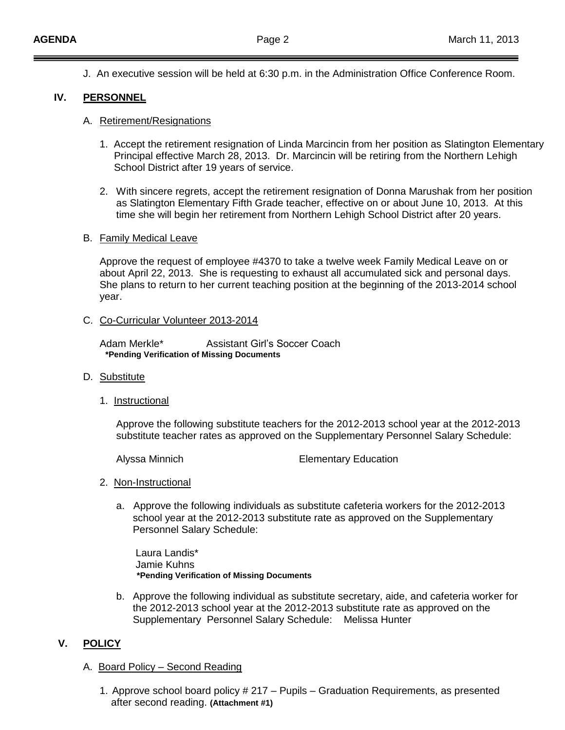J. An executive session will be held at 6:30 p.m. in the Administration Office Conference Room.

### **IV. PERSONNEL**

#### A. Retirement/Resignations

- 1. Accept the retirement resignation of Linda Marcincin from her position as Slatington Elementary Principal effective March 28, 2013. Dr. Marcincin will be retiring from the Northern Lehigh School District after 19 years of service.
- 2. With sincere regrets, accept the retirement resignation of Donna Marushak from her position as Slatington Elementary Fifth Grade teacher, effective on or about June 10, 2013. At this time she will begin her retirement from Northern Lehigh School District after 20 years.

#### B. Family Medical Leave

Approve the request of employee #4370 to take a twelve week Family Medical Leave on or about April 22, 2013. She is requesting to exhaust all accumulated sick and personal days. She plans to return to her current teaching position at the beginning of the 2013-2014 school year.

#### C. Co-Curricular Volunteer 2013-2014

Adam Merkle\* Assistant Girl's Soccer Coach **\*Pending Verification of Missing Documents**

- D. Substitute
	- 1. Instructional

Approve the following substitute teachers for the 2012-2013 school year at the 2012-2013 substitute teacher rates as approved on the Supplementary Personnel Salary Schedule:

Alyssa Minnich Elementary Education

- 2. Non-Instructional
	- a. Approve the following individuals as substitute cafeteria workers for the 2012-2013 school year at the 2012-2013 substitute rate as approved on the Supplementary Personnel Salary Schedule:

Laura Landis\* Jamie Kuhns  **\*Pending Verification of Missing Documents**

b. Approve the following individual as substitute secretary, aide, and cafeteria worker for the 2012-2013 school year at the 2012-2013 substitute rate as approved on the Supplementary Personnel Salary Schedule: Melissa Hunter

## **V. POLICY**

- A. Board Policy Second Reading
	- 1. Approve school board policy # 217 Pupils Graduation Requirements, as presented after second reading. **(Attachment #1)**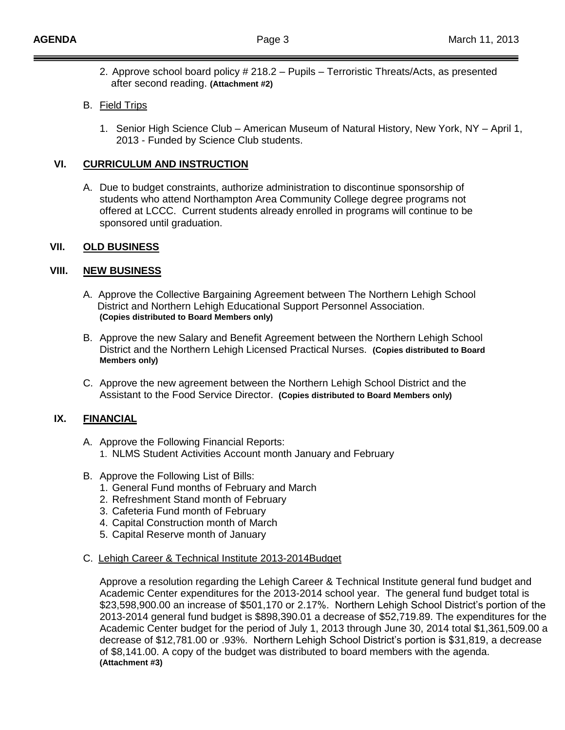2. Approve school board policy # 218.2 – Pupils – Terroristic Threats/Acts, as presented after second reading. **(Attachment #2)**

### B. Field Trips

1. Senior High Science Club – American Museum of Natural History, New York, NY – April 1, 2013 - Funded by Science Club students.

### **VI. CURRICULUM AND INSTRUCTION**

A. Due to budget constraints, authorize administration to discontinue sponsorship of students who attend Northampton Area Community College degree programs not offered at LCCC. Current students already enrolled in programs will continue to be sponsored until graduation.

### **VII. OLD BUSINESS**

### **VIII. NEW BUSINESS**

- A. Approve the Collective Bargaining Agreement between The Northern Lehigh School District and Northern Lehigh Educational Support Personnel Association. **(Copies distributed to Board Members only)**
- B. Approve the new Salary and Benefit Agreement between the Northern Lehigh School District and the Northern Lehigh Licensed Practical Nurses. **(Copies distributed to Board Members only)**
- C. Approve the new agreement between the Northern Lehigh School District and the Assistant to the Food Service Director. **(Copies distributed to Board Members only)**

# **IX. FINANCIAL**

- A. Approve the Following Financial Reports:
	- 1. NLMS Student Activities Account month January and February
- B. Approve the Following List of Bills:
	- 1. General Fund months of February and March
	- 2. Refreshment Stand month of February
	- 3. Cafeteria Fund month of February
	- 4. Capital Construction month of March
	- 5. Capital Reserve month of January

#### C. Lehigh Career & Technical Institute 2013-2014Budget

Approve a resolution regarding the Lehigh Career & Technical Institute general fund budget and Academic Center expenditures for the 2013-2014 school year. The general fund budget total is \$23,598,900.00 an increase of \$501,170 or 2.17%. Northern Lehigh School District's portion of the 2013-2014 general fund budget is \$898,390.01 a decrease of \$52,719.89. The expenditures for the Academic Center budget for the period of July 1, 2013 through June 30, 2014 total \$1,361,509.00 a decrease of \$12,781.00 or .93%. Northern Lehigh School District's portion is \$31,819, a decrease of \$8,141.00. A copy of the budget was distributed to board members with the agenda. **(Attachment #3)**